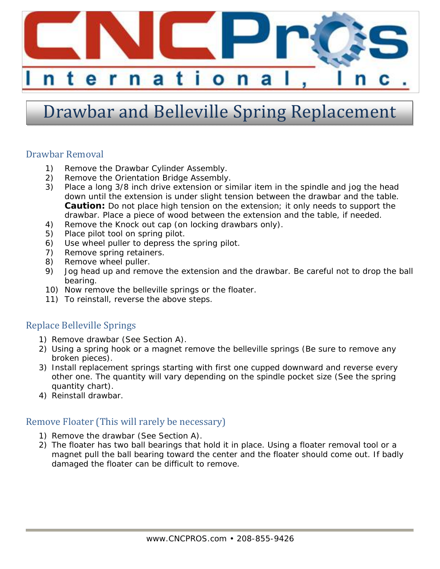

# Drawbar and Belleville Spring Replacement

#### Drawbar Removal

- 1) Remove the Drawbar Cylinder Assembly.
- 2) Remove the Orientation Bridge Assembly.
- 3) Place a long 3/8 inch drive extension or similar item in the spindle and jog the head down until the extension is under slight tension between the drawbar and the table. **Caution:** Do not place high tension on the extension; it only needs to support the drawbar. Place a piece of wood between the extension and the table, if needed.
- 4) Remove the Knock out cap (on locking drawbars only).
- 5) Place pilot tool on spring pilot.
- 6) Use wheel puller to depress the spring pilot.
- 7) Remove spring retainers.
- 8) Remove wheel puller.
- 9) Jog head up and remove the extension and the drawbar. Be careful not to drop the ball bearing.
- 10) Now remove the belleville springs or the floater.
- 11) To reinstall, reverse the above steps.

### Replace Belleville Springs

- 1) Remove drawbar (See Section A).
- 2) Using a spring hook or a magnet remove the belleville springs (Be sure to remove any broken pieces).
- 3) Install replacement springs starting with first one cupped downward and reverse every other one. The quantity will vary depending on the spindle pocket size (See the spring quantity chart).
- 4) Reinstall drawbar.

### Remove Floater (This will rarely be necessary)

- 1) Remove the drawbar (See Section A).
- 2) The floater has two ball bearings that hold it in place. Using a floater removal tool or a magnet pull the ball bearing toward the center and the floater should come out. If badly damaged the floater can be difficult to remove.